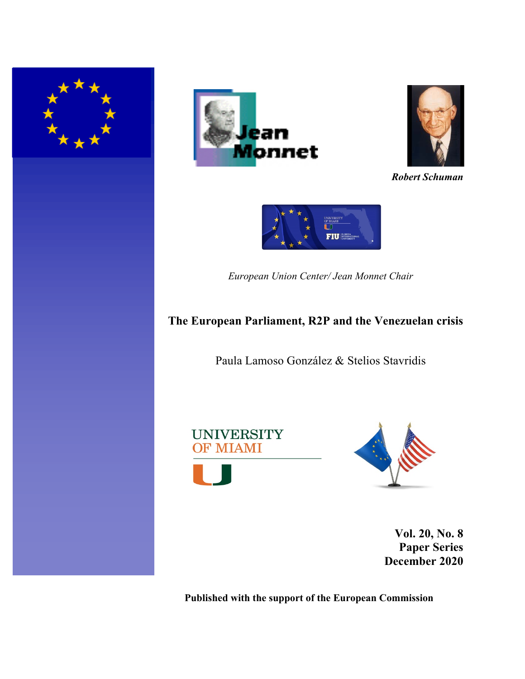





*Robert Schuman*



*European Union Center/ Jean Monnet Chair*

# **The European Parliament, R2P and the Venezuelan crisis**

Paula Lamoso González & Stelios Stavridis





**Vol. 20, No. 8 Paper Series December 2020**

**Published with the support of the European Commission**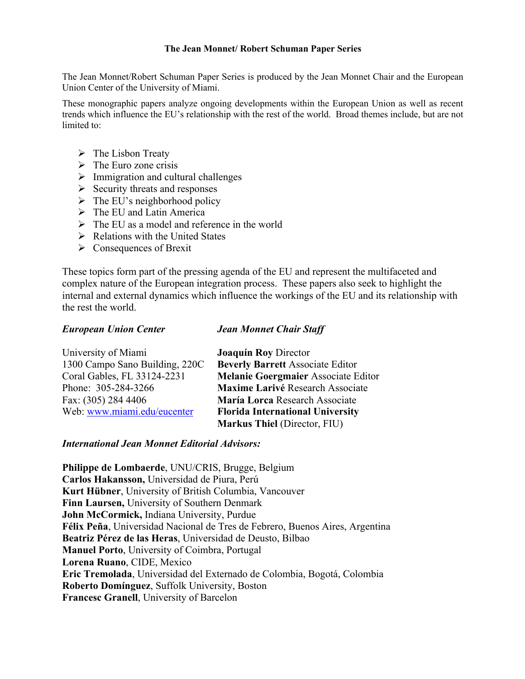### **The Jean Monnet/ Robert Schuman Paper Series**

The Jean Monnet/Robert Schuman Paper Series is produced by the Jean Monnet Chair and the European Union Center of the University of Miami.

These monographic papers analyze ongoing developments within the European Union as well as recent trends which influence the EU's relationship with the rest of the world. Broad themes include, but are not limited to:

- $\triangleright$  The Lisbon Treaty
- $\triangleright$  The Euro zone crisis
- $\triangleright$  Immigration and cultural challenges
- $\triangleright$  Security threats and responses
- $\triangleright$  The EU's neighborhood policy
- $\triangleright$  The EU and Latin America
- $\triangleright$  The EU as a model and reference in the world
- $\triangleright$  Relations with the United States
- $\triangleright$  Consequences of Brexit

These topics form part of the pressing agenda of the EU and represent the multifaceted and complex nature of the European integration process. These papers also seek to highlight the internal and external dynamics which influence the workings of the EU and its relationship with the rest the world.

## *European Union Center*

## *Jean Monnet Chair Staff*

| University of Miami            | <b>Joaquín Roy Director</b>             |
|--------------------------------|-----------------------------------------|
| 1300 Campo Sano Building, 220C | <b>Beverly Barrett Associate Editor</b> |
| Coral Gables, FL 33124-2231    | Melanie Goergmaier Associate Editor     |
| Phone: 305-284-3266            | Maxime Larivé Research Associate        |
| Fax: (305) 284 4406            | María Lorca Research Associate          |
| Web: www.miami.edu/eucenter    | <b>Florida International University</b> |
|                                | <b>Markus Thiel (Director, FIU)</b>     |

## *International Jean Monnet Editorial Advisors:*

**Philippe de Lombaerde**, UNU/CRIS, Brugge, Belgium **Carlos Hakansson,** Universidad de Piura, Perú **Kurt Hübner**, University of British Columbia, Vancouver **Finn Laursen,** University of Southern Denmark **John McCormick,** Indiana University, Purdue **Félix Peña**, Universidad Nacional de Tres de Febrero, Buenos Aires, Argentina **Beatriz Pérez de las Heras**, Universidad de Deusto, Bilbao **Manuel Porto**, University of Coimbra, Portugal **Lorena Ruano**, CIDE, Mexico **Eric Tremolada**, Universidad del Externado de Colombia, Bogotá, Colombia **Roberto Domínguez**, Suffolk University, Boston **Francesc Granell**, University of Barcelon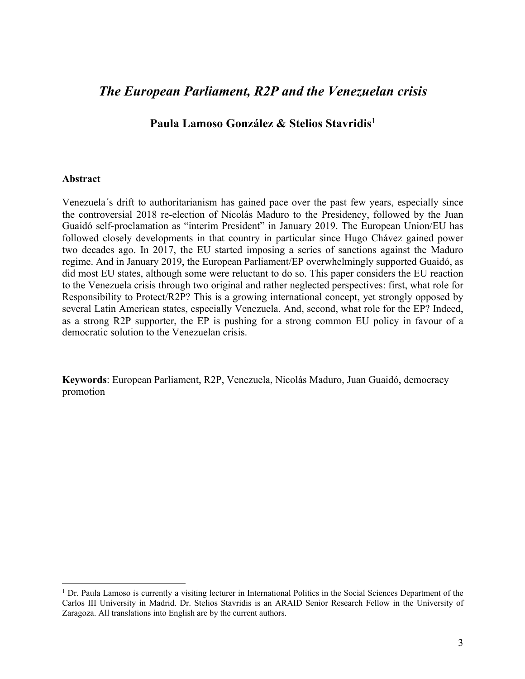## *The European Parliament, R2P and the Venezuelan crisis*

**Paula Lamoso González & Stelios Stavridis**<sup>1</sup>

## **Abstract**

Venezuela´s drift to authoritarianism has gained pace over the past few years, especially since the controversial 2018 re-election of Nicolás Maduro to the Presidency, followed by the Juan Guaidó self-proclamation as "interim President" in January 2019. The European Union/EU has followed closely developments in that country in particular since Hugo Chávez gained power two decades ago. In 2017, the EU started imposing a series of sanctions against the Maduro regime. And in January 2019, the European Parliament/EP overwhelmingly supported Guaidó, as did most EU states, although some were reluctant to do so. This paper considers the EU reaction to the Venezuela crisis through two original and rather neglected perspectives: first, what role for Responsibility to Protect/R2P? This is a growing international concept, yet strongly opposed by several Latin American states, especially Venezuela. And, second, what role for the EP? Indeed, as a strong R2P supporter, the EP is pushing for a strong common EU policy in favour of a democratic solution to the Venezuelan crisis.

**Keywords**: European Parliament, R2P, Venezuela, Nicolás Maduro, Juan Guaidó, democracy promotion

 $1$  Dr. Paula Lamoso is currently a visiting lecturer in International Politics in the Social Sciences Department of the Carlos III University in Madrid. Dr. Stelios Stavridis is an ARAID Senior Research Fellow in the University of Zaragoza. All translations into English are by the current authors.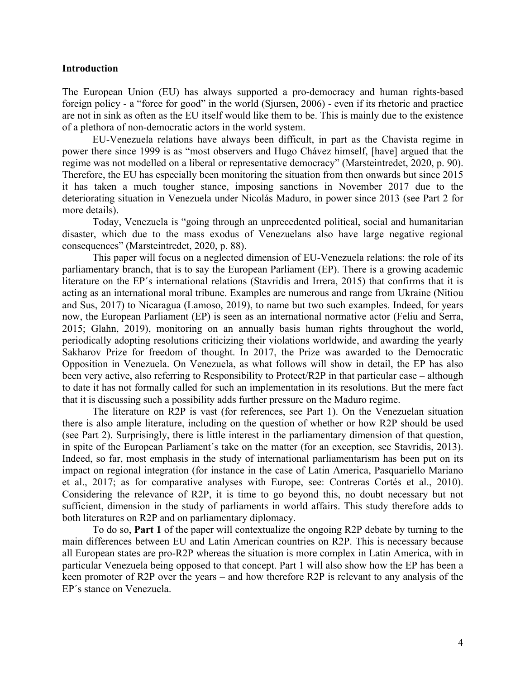#### **Introduction**

The European Union (EU) has always supported a pro-democracy and human rights-based foreign policy - a "force for good" in the world (Sjursen, 2006) - even if its rhetoric and practice are not in sink as often as the EU itself would like them to be. This is mainly due to the existence of a plethora of non-democratic actors in the world system.

EU-Venezuela relations have always been difficult, in part as the Chavista regime in power there since 1999 is as "most observers and Hugo Chávez himself, [have] argued that the regime was not modelled on a liberal or representative democracy" (Marsteintredet, 2020, p. 90). Therefore, the EU has especially been monitoring the situation from then onwards but since 2015 it has taken a much tougher stance, imposing sanctions in November 2017 due to the deteriorating situation in Venezuela under Nicolás Maduro, in power since 2013 (see Part 2 for more details).

Today, Venezuela is "going through an unprecedented political, social and humanitarian disaster, which due to the mass exodus of Venezuelans also have large negative regional consequences" (Marsteintredet, 2020, p. 88).

This paper will focus on a neglected dimension of EU-Venezuela relations: the role of its parliamentary branch, that is to say the European Parliament (EP). There is a growing academic literature on the EP's international relations (Stavridis and Irrera, 2015) that confirms that it is acting as an international moral tribune. Examples are numerous and range from Ukraine (Nitiou and Sus, 2017) to Nicaragua (Lamoso, 2019), to name but two such examples. Indeed, for years now, the European Parliament (EP) is seen as an international normative actor (Feliu and Serra, 2015; Glahn, 2019), monitoring on an annually basis human rights throughout the world, periodically adopting resolutions criticizing their violations worldwide, and awarding the yearly Sakharov Prize for freedom of thought. In 2017, the Prize was awarded to the Democratic Opposition in Venezuela. On Venezuela, as what follows will show in detail, the EP has also been very active, also referring to Responsibility to Protect/R2P in that particular case – although to date it has not formally called for such an implementation in its resolutions. But the mere fact that it is discussing such a possibility adds further pressure on the Maduro regime.

The literature on R2P is vast (for references, see Part 1). On the Venezuelan situation there is also ample literature, including on the question of whether or how R2P should be used (see Part 2). Surprisingly, there is little interest in the parliamentary dimension of that question, in spite of the European Parliament´s take on the matter (for an exception, see Stavridis, 2013). Indeed, so far, most emphasis in the study of international parliamentarism has been put on its impact on regional integration (for instance in the case of Latin America, Pasquariello Mariano et al., 2017; as for comparative analyses with Europe, see: Contreras Cortés et al., 2010). Considering the relevance of R2P, it is time to go beyond this, no doubt necessary but not sufficient, dimension in the study of parliaments in world affairs. This study therefore adds to both literatures on R2P and on parliamentary diplomacy.

To do so, **Part 1** of the paper will contextualize the ongoing R2P debate by turning to the main differences between EU and Latin American countries on R2P. This is necessary because all European states are pro-R2P whereas the situation is more complex in Latin America, with in particular Venezuela being opposed to that concept. Part 1 will also show how the EP has been a keen promoter of R2P over the years – and how therefore R2P is relevant to any analysis of the EP´s stance on Venezuela.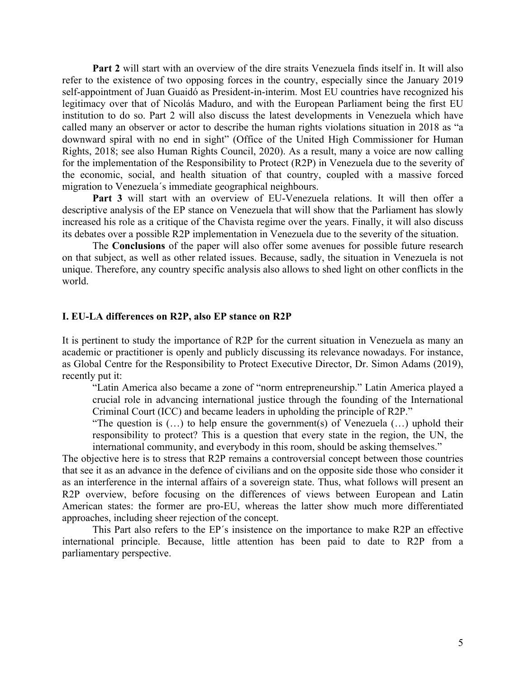**Part 2** will start with an overview of the dire straits Venezuela finds itself in. It will also refer to the existence of two opposing forces in the country, especially since the January 2019 self-appointment of Juan Guaidó as President-in-interim. Most EU countries have recognized his legitimacy over that of Nicolás Maduro, and with the European Parliament being the first EU institution to do so. Part 2 will also discuss the latest developments in Venezuela which have called many an observer or actor to describe the human rights violations situation in 2018 as "a downward spiral with no end in sight" (Office of the United High Commissioner for Human Rights, 2018; see also Human Rights Council, 2020). As a result, many a voice are now calling for the implementation of the Responsibility to Protect (R2P) in Venezuela due to the severity of the economic, social, and health situation of that country, coupled with a massive forced migration to Venezuela´s immediate geographical neighbours.

**Part 3** will start with an overview of EU-Venezuela relations. It will then offer a descriptive analysis of the EP stance on Venezuela that will show that the Parliament has slowly increased his role as a critique of the Chavista regime over the years. Finally, it will also discuss its debates over a possible R2P implementation in Venezuela due to the severity of the situation.

The **Conclusions** of the paper will also offer some avenues for possible future research on that subject, as well as other related issues. Because, sadly, the situation in Venezuela is not unique. Therefore, any country specific analysis also allows to shed light on other conflicts in the world.

#### **I. EU-LA differences on R2P, also EP stance on R2P**

It is pertinent to study the importance of R2P for the current situation in Venezuela as many an academic or practitioner is openly and publicly discussing its relevance nowadays. For instance, as Global Centre for the Responsibility to Protect Executive Director, Dr. Simon Adams (2019), recently put it:

"Latin America also became a zone of "norm entrepreneurship." Latin America played a crucial role in advancing international justice through the founding of the International Criminal Court (ICC) and became leaders in upholding the principle of R2P."

"The question is  $(...)$  to help ensure the government(s) of Venezuela  $(...)$  uphold their responsibility to protect? This is a question that every state in the region, the UN, the international community, and everybody in this room, should be asking themselves."

The objective here is to stress that R2P remains a controversial concept between those countries that see it as an advance in the defence of civilians and on the opposite side those who consider it as an interference in the internal affairs of a sovereign state. Thus, what follows will present an R2P overview, before focusing on the differences of views between European and Latin American states: the former are pro-EU, whereas the latter show much more differentiated approaches, including sheer rejection of the concept.

This Part also refers to the EP´s insistence on the importance to make R2P an effective international principle. Because, little attention has been paid to date to R2P from a parliamentary perspective.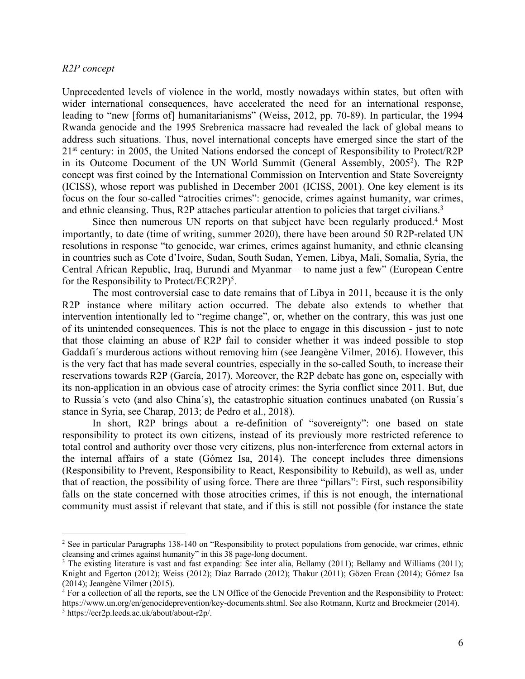#### *R2P concept*

Unprecedented levels of violence in the world, mostly nowadays within states, but often with wider international consequences, have accelerated the need for an international response, leading to "new [forms of] humanitarianisms" (Weiss, 2012, pp. 70-89). In particular, the 1994 Rwanda genocide and the 1995 Srebrenica massacre had revealed the lack of global means to address such situations. Thus, novel international concepts have emerged since the start of the 21<sup>st</sup> century: in 2005, the United Nations endorsed the concept of Responsibility to Protect/R2P in its Outcome Document of the UN World Summit (General Assembly, 2005<sup>2</sup>). The R2P concept was first coined by the International Commission on Intervention and State Sovereignty (ICISS), whose report was published in December 2001 (ICISS, 2001). One key element is its focus on the four so-called "atrocities crimes": genocide, crimes against humanity, war crimes, and ethnic cleansing. Thus, R2P attaches particular attention to policies that target civilians.<sup>3</sup>

Since then numerous UN reports on that subject have been regularly produced.<sup>4</sup> Most importantly, to date (time of writing, summer 2020), there have been around 50 R2P-related UN resolutions in response "to genocide, war crimes, crimes against humanity, and ethnic cleansing in countries such as Cote d'Ivoire, Sudan, South Sudan, Yemen, Libya, Mali, Somalia, Syria, the Central African Republic, Iraq, Burundi and Myanmar – to name just a few" (European Centre for the Responsibility to Protect/ECR2P $)^5$ .

The most controversial case to date remains that of Libya in 2011, because it is the only R2P instance where military action occurred. The debate also extends to whether that intervention intentionally led to "regime change", or, whether on the contrary, this was just one of its unintended consequences. This is not the place to engage in this discussion - just to note that those claiming an abuse of R2P fail to consider whether it was indeed possible to stop Gaddafi´s murderous actions without removing him (see Jeangène Vilmer, 2016). However, this is the very fact that has made several countries, especially in the so-called South, to increase their reservations towards R2P (García, 2017). Moreover, the R2P debate has gone on, especially with its non-application in an obvious case of atrocity crimes: the Syria conflict since 2011. But, due to Russia´s veto (and also China´s), the catastrophic situation continues unabated (on Russia´s stance in Syria, see Charap, 2013; de Pedro et al., 2018).

In short, R2P brings about a re-definition of "sovereignty": one based on state responsibility to protect its own citizens, instead of its previously more restricted reference to total control and authority over those very citizens, plus non-interference from external actors in the internal affairs of a state (Gómez Isa, 2014). The concept includes three dimensions (Responsibility to Prevent, Responsibility to React, Responsibility to Rebuild), as well as, under that of reaction, the possibility of using force. There are three "pillars": First, such responsibility falls on the state concerned with those atrocities crimes, if this is not enough, the international community must assist if relevant that state, and if this is still not possible (for instance the state

<sup>&</sup>lt;sup>2</sup> See in particular Paragraphs 138-140 on "Responsibility to protect populations from genocide, war crimes, ethnic cleansing and crimes against humanity" in this 38 page-long document.

<sup>&</sup>lt;sup>3</sup> The existing literature is vast and fast expanding: See inter alia, Bellamy (2011); Bellamy and Williams (2011); Knight and Egerton (2012); Weiss (2012); Díaz Barrado (2012); Thakur (2011); Gözen Ercan (2014); Gómez Isa (2014); Jeangène Vilmer (2015).

 $\frac{1}{4}$  For a collection of all the reports, see the UN Office of the Genocide Prevention and the Responsibility to Protect: https://www.un.org/en/genocideprevention/key-documents.shtml. See also Rotmann, Kurtz and Brockmeier (2014).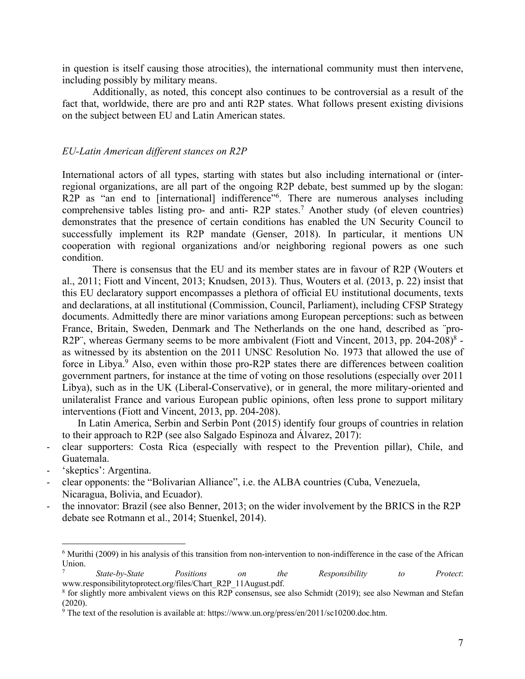in question is itself causing those atrocities), the international community must then intervene, including possibly by military means.

Additionally, as noted, this concept also continues to be controversial as a result of the fact that, worldwide, there are pro and anti R2P states. What follows present existing divisions on the subject between EU and Latin American states.

#### *EU-Latin American different stances on R2P*

International actors of all types, starting with states but also including international or (interregional organizations, are all part of the ongoing R2P debate, best summed up by the slogan: R2P as "an end to [international] indifference"<sup>6</sup>. There are numerous analyses including comprehensive tables listing pro- and anti- R2P states.7 Another study (of eleven countries) demonstrates that the presence of certain conditions has enabled the UN Security Council to successfully implement its R2P mandate (Genser, 2018). In particular, it mentions UN cooperation with regional organizations and/or neighboring regional powers as one such condition.

There is consensus that the EU and its member states are in favour of R2P (Wouters et al., 2011; Fiott and Vincent, 2013; Knudsen, 2013). Thus, Wouters et al. (2013, p. 22) insist that this EU declaratory support encompasses a plethora of official EU institutional documents, texts and declarations, at all institutional (Commission, Council, Parliament), including CFSP Strategy documents. Admittedly there are minor variations among European perceptions: such as between France, Britain, Sweden, Denmark and The Netherlands on the one hand, described as ¨pro-R2P", whereas Germany seems to be more ambivalent (Fiott and Vincent, 2013, pp. 204-208) $^8$  as witnessed by its abstention on the 2011 UNSC Resolution No. 1973 that allowed the use of force in Libya.<sup>9</sup> Also, even within those pro-R2P states there are differences between coalition government partners, for instance at the time of voting on those resolutions (especially over 2011 Libya), such as in the UK (Liberal-Conservative), or in general, the more military-oriented and unilateralist France and various European public opinions, often less prone to support military interventions (Fiott and Vincent, 2013, pp. 204-208).

In Latin America, Serbin and Serbin Pont (2015) identify four groups of countries in relation to their approach to R2P (see also Salgado Espinoza and Álvarez, 2017):

- clear supporters: Costa Rica (especially with respect to the Prevention pillar), Chile, and Guatemala.
- 'skeptics': Argentina.
- clear opponents: the "Bolivarian Alliance", i.e. the ALBA countries (Cuba, Venezuela, Nicaragua, Bolivia, and Ecuador).
- the innovator: Brazil (see also Benner, 2013; on the wider involvement by the BRICS in the R2P debate see Rotmann et al., 2014; Stuenkel, 2014).

 $6$  Murithi (2009) in his analysis of this transition from non-intervention to non-indifference in the case of the African Union.

<sup>7</sup> *State-by-State Positions on the Responsibility to Protect*: www.responsibilitytoprotect.org/files/Chart\_R2P\_11August.pdf.

<sup>8</sup> for slightly more ambivalent views on this R2P consensus, see also Schmidt (2019); see also Newman and Stefan (2020).

<sup>9</sup> The text of the resolution is available at: https://www.un.org/press/en/2011/sc10200.doc.htm.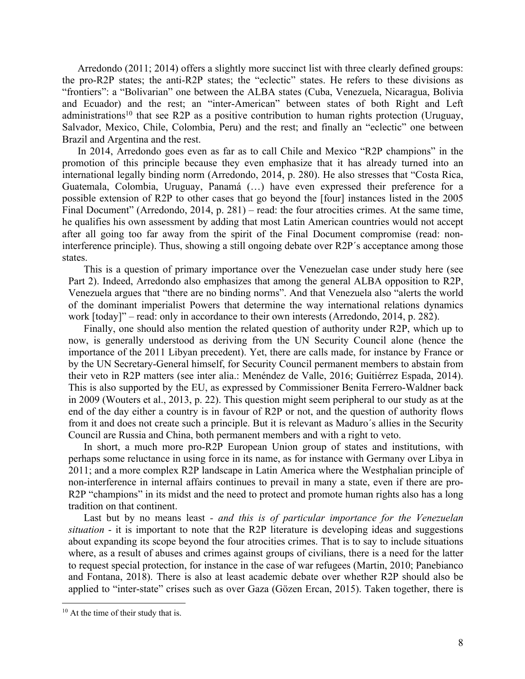Arredondo (2011; 2014) offers a slightly more succinct list with three clearly defined groups: the pro-R2P states; the anti-R2P states; the "eclectic" states. He refers to these divisions as "frontiers": a "Bolivarian" one between the ALBA states (Cuba, Venezuela, Nicaragua, Bolivia and Ecuador) and the rest; an "inter-American" between states of both Right and Left administrations<sup>10</sup> that see R2P as a positive contribution to human rights protection (Uruguay, Salvador, Mexico, Chile, Colombia, Peru) and the rest; and finally an "eclectic" one between Brazil and Argentina and the rest.

In 2014, Arredondo goes even as far as to call Chile and Mexico "R2P champions" in the promotion of this principle because they even emphasize that it has already turned into an international legally binding norm (Arredondo, 2014, p. 280). He also stresses that "Costa Rica, Guatemala, Colombia, Uruguay, Panamá (…) have even expressed their preference for a possible extension of R2P to other cases that go beyond the [four] instances listed in the 2005 Final Document" (Arredondo, 2014, p. 281) – read: the four atrocities crimes. At the same time, he qualifies his own assessment by adding that most Latin American countries would not accept after all going too far away from the spirit of the Final Document compromise (read: noninterference principle). Thus, showing a still ongoing debate over R2P´s acceptance among those states.

This is a question of primary importance over the Venezuelan case under study here (see Part 2). Indeed, Arredondo also emphasizes that among the general ALBA opposition to R2P, Venezuela argues that "there are no binding norms". And that Venezuela also "alerts the world of the dominant imperialist Powers that determine the way international relations dynamics work [today]" – read: only in accordance to their own interests (Arredondo, 2014, p. 282).

Finally, one should also mention the related question of authority under R2P, which up to now, is generally understood as deriving from the UN Security Council alone (hence the importance of the 2011 Libyan precedent). Yet, there are calls made, for instance by France or by the UN Secretary-General himself, for Security Council permanent members to abstain from their veto in R2P matters (see inter alia.: Menéndez de Valle, 2016; Guitiérrez Espada, 2014). This is also supported by the EU, as expressed by Commissioner Benita Ferrero-Waldner back in 2009 (Wouters et al., 2013, p. 22). This question might seem peripheral to our study as at the end of the day either a country is in favour of R2P or not, and the question of authority flows from it and does not create such a principle. But it is relevant as Maduro´s allies in the Security Council are Russia and China, both permanent members and with a right to veto.

In short, a much more pro-R2P European Union group of states and institutions, with perhaps some reluctance in using force in its name, as for instance with Germany over Libya in 2011; and a more complex R2P landscape in Latin America where the Westphalian principle of non-interference in internal affairs continues to prevail in many a state, even if there are pro-R2P "champions" in its midst and the need to protect and promote human rights also has a long tradition on that continent.

Last but by no means least *- and this is of particular importance for the Venezuelan situation* - it is important to note that the R2P literature is developing ideas and suggestions about expanding its scope beyond the four atrocities crimes. That is to say to include situations where, as a result of abuses and crimes against groups of civilians, there is a need for the latter to request special protection, for instance in the case of war refugees (Martin, 2010; Panebianco and Fontana, 2018). There is also at least academic debate over whether R2P should also be applied to "inter-state" crises such as over Gaza (Gözen Ercan, 2015). Taken together, there is

 $10$  At the time of their study that is.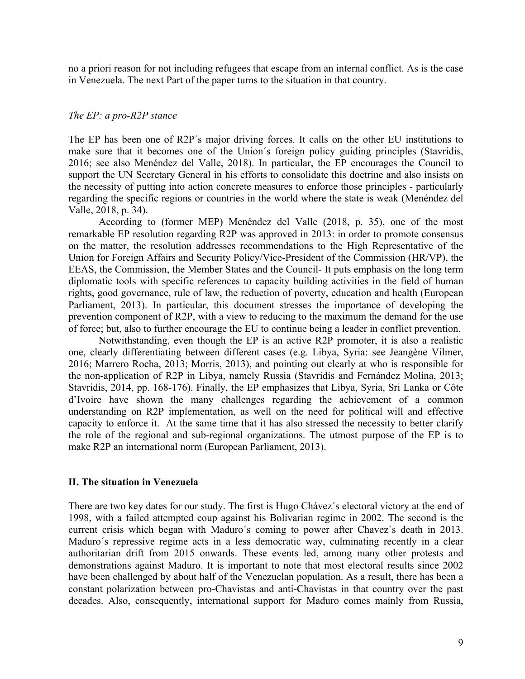no a priori reason for not including refugees that escape from an internal conflict. As is the case in Venezuela. The next Part of the paper turns to the situation in that country.

#### *The EP: a pro-R2P stance*

The EP has been one of R2P´s major driving forces. It calls on the other EU institutions to make sure that it becomes one of the Union´s foreign policy guiding principles (Stavridis, 2016; see also Menéndez del Valle, 2018). In particular, the EP encourages the Council to support the UN Secretary General in his efforts to consolidate this doctrine and also insists on the necessity of putting into action concrete measures to enforce those principles - particularly regarding the specific regions or countries in the world where the state is weak (Menéndez del Valle, 2018, p. 34).

According to (former MEP) Menéndez del Valle (2018, p. 35), one of the most remarkable EP resolution regarding R2P was approved in 2013: in order to promote consensus on the matter, the resolution addresses recommendations to the High Representative of the Union for Foreign Affairs and Security Policy/Vice-President of the Commission (HR/VP), the EEAS, the Commission, the Member States and the Council- It puts emphasis on the long term diplomatic tools with specific references to capacity building activities in the field of human rights, good governance, rule of law, the reduction of poverty, education and health (European Parliament, 2013). In particular, this document stresses the importance of developing the prevention component of R2P, with a view to reducing to the maximum the demand for the use of force; but, also to further encourage the EU to continue being a leader in conflict prevention.

Notwithstanding, even though the EP is an active R2P promoter, it is also a realistic one, clearly differentiating between different cases (e.g. Libya, Syria: see Jeangène Vilmer, 2016; Marrero Rocha, 2013; Morris, 2013), and pointing out clearly at who is responsible for the non-application of R2P in Libya, namely Russia (Stavridis and Fernández Molina, 2013; Stavridis, 2014, pp. 168-176). Finally, the EP emphasizes that Libya, Syria, Sri Lanka or Côte d'Ivoire have shown the many challenges regarding the achievement of a common understanding on R2P implementation, as well on the need for political will and effective capacity to enforce it. At the same time that it has also stressed the necessity to better clarify the role of the regional and sub-regional organizations. The utmost purpose of the EP is to make R2P an international norm (European Parliament, 2013).

#### **II. The situation in Venezuela**

There are two key dates for our study. The first is Hugo Chávez´s electoral victory at the end of 1998, with a failed attempted coup against his Bolivarian regime in 2002. The second is the current crisis which began with Maduro´s coming to power after Chavez´s death in 2013. Maduro´s repressive regime acts in a less democratic way, culminating recently in a clear authoritarian drift from 2015 onwards. These events led, among many other protests and demonstrations against Maduro. It is important to note that most electoral results since 2002 have been challenged by about half of the Venezuelan population. As a result, there has been a constant polarization between pro-Chavistas and anti-Chavistas in that country over the past decades. Also, consequently, international support for Maduro comes mainly from Russia,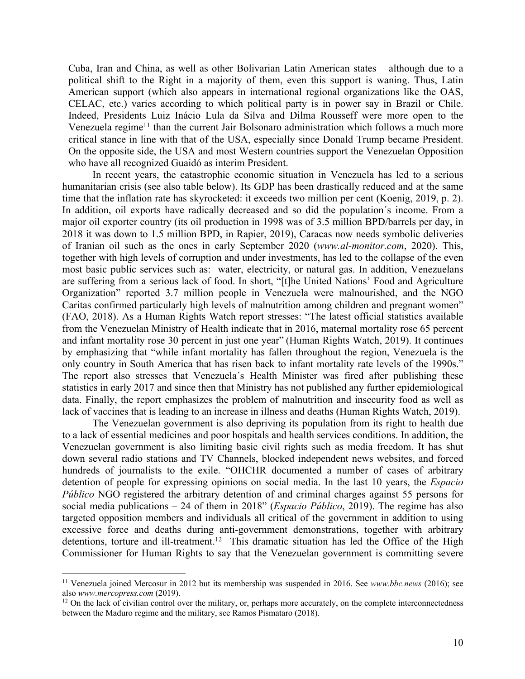Cuba, Iran and China, as well as other Bolivarian Latin American states – although due to a political shift to the Right in a majority of them, even this support is waning. Thus, Latin American support (which also appears in international regional organizations like the OAS, CELAC, etc.) varies according to which political party is in power say in Brazil or Chile. Indeed, Presidents Luiz Inácio Lula da Silva and Dilma Rousseff were more open to the Venezuela regime<sup>11</sup> than the current Jair Bolsonaro administration which follows a much more critical stance in line with that of the USA, especially since Donald Trump became President. On the opposite side, the USA and most Western countries support the Venezuelan Opposition who have all recognized Guaidó as interim President.

In recent years, the catastrophic economic situation in Venezuela has led to a serious humanitarian crisis (see also table below). Its GDP has been drastically reduced and at the same time that the inflation rate has skyrocketed: it exceeds two million per cent (Koenig, 2019, p. 2). In addition, oil exports have radically decreased and so did the population´s income. From a major oil exporter country (its oil production in 1998 was of 3.5 million BPD/barrels per day, in 2018 it was down to 1.5 million BPD, in Rapier, 2019), Caracas now needs symbolic deliveries of Iranian oil such as the ones in early September 2020 (*www.al-monitor.com*, 2020). This, together with high levels of corruption and under investments, has led to the collapse of the even most basic public services such as: water, electricity, or natural gas. In addition, Venezuelans are suffering from a serious lack of food. In short, "[t]he United Nations' Food and Agriculture Organization" reported 3.7 million people in Venezuela were malnourished, and the NGO Caritas confirmed particularly high levels of malnutrition among children and pregnant women" (FAO, 2018). As a Human Rights Watch report stresses: "The latest official statistics available from the Venezuelan Ministry of Health indicate that in 2016, maternal mortality rose 65 percent and infant mortality rose 30 percent in just one year" (Human Rights Watch, 2019). It continues by emphasizing that "while infant mortality has fallen throughout the region, Venezuela is the only country in South America that has risen back to infant mortality rate levels of the 1990s." The report also stresses that Venezuela´s Health Minister was fired after publishing these statistics in early 2017 and since then that Ministry has not published any further epidemiological data. Finally, the report emphasizes the problem of malnutrition and insecurity food as well as lack of vaccines that is leading to an increase in illness and deaths (Human Rights Watch, 2019).

The Venezuelan government is also depriving its population from its right to health due to a lack of essential medicines and poor hospitals and health services conditions. In addition, the Venezuelan government is also limiting basic civil rights such as media freedom. It has shut down several radio stations and TV Channels, blocked independent news websites, and forced hundreds of journalists to the exile. "OHCHR documented a number of cases of arbitrary detention of people for expressing opinions on social media. In the last 10 years, the *Espacio Público* NGO registered the arbitrary detention of and criminal charges against 55 persons for social media publications – 24 of them in 2018" (*Espacio Público*, 2019). The regime has also targeted opposition members and individuals all critical of the government in addition to using excessive force and deaths during anti-government demonstrations, together with arbitrary detentions, torture and ill-treatment.<sup>12</sup> This dramatic situation has led the Office of the High Commissioner for Human Rights to say that the Venezuelan government is committing severe

<sup>11</sup> Venezuela joined Mercosur in 2012 but its membership was suspended in 2016. See *www.bbc.news* (2016); see also *www.mercopress.com* (2019).

<sup>&</sup>lt;sup>12</sup> On the lack of civilian control over the military, or, perhaps more accurately, on the complete interconnectedness between the Maduro regime and the military, see Ramos Pismataro (2018).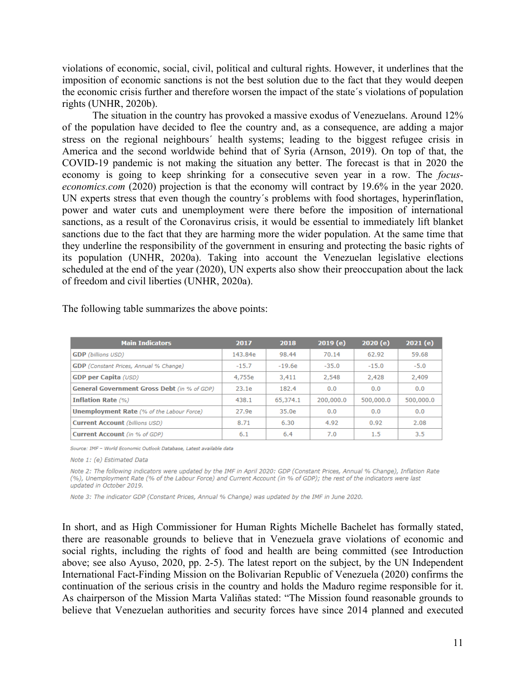violations of economic, social, civil, political and cultural rights. However, it underlines that the imposition of economic sanctions is not the best solution due to the fact that they would deepen the economic crisis further and therefore worsen the impact of the state´s violations of population rights (UNHR, 2020b).

The situation in the country has provoked a massive exodus of Venezuelans. Around 12% of the population have decided to flee the country and, as a consequence, are adding a major stress on the regional neighbours´ health systems; leading to the biggest refugee crisis in America and the second worldwide behind that of Syria (Arnson, 2019). On top of that, the COVID-19 pandemic is not making the situation any better. The forecast is that in 2020 the economy is going to keep shrinking for a consecutive seven year in a row. The *focuseconomics.com* (2020) projection is that the economy will contract by 19.6% in the year 2020. UN experts stress that even though the country´s problems with food shortages, hyperinflation, power and water cuts and unemployment were there before the imposition of international sanctions, as a result of the Coronavirus crisis, it would be essential to immediately lift blanket sanctions due to the fact that they are harming more the wider population. At the same time that they underline the responsibility of the government in ensuring and protecting the basic rights of its population (UNHR, 2020a). Taking into account the Venezuelan legislative elections scheduled at the end of the year (2020), UN experts also show their preoccupation about the lack of freedom and civil liberties (UNHR, 2020a).

| <b>Main Indicators</b>                             | 2017    | 2018     | 2019(e)   | 2020(e)   | 2021(e)   |
|----------------------------------------------------|---------|----------|-----------|-----------|-----------|
| <b>GDP</b> (billions USD)                          | 143.84e | 98.44    | 70.14     | 62.92     | 59.68     |
| GDP (Constant Prices, Annual % Change)             | $-15.7$ | $-19.6e$ | $-35.0$   | $-15.0$   | $-5.0$    |
| <b>GDP per Capita (USD)</b>                        | 4,755e  | 3,411    | 2,548     | 2,428     | 2,409     |
| <b>General Government Gross Debt</b> (in % of GDP) | 23.1e   | 182.4    | 0.0       | 0.0       | 0.0       |
| <b>Inflation Rate (%)</b>                          | 438.1   | 65.374.1 | 200,000.0 | 500,000.0 | 500,000.0 |
| <b>Unemployment Rate</b> (% of the Labour Force)   | 27.9e   | 35.0e    | 0.0       | 0.0       | 0.0       |
| <b>Current Account (billions USD)</b>              | 8.71    | 6.30     | 4.92      | 0.92      | 2.08      |
| <b>Current Account</b> (in % of GDP)               | 6.1     | 6.4      | 7.0       | 1.5       | 3.5       |

The following table summarizes the above points:

Source: IMF - World Economic Outlook Database, Latest available data

Note 1: (e) Estimated Data

Note 2: The following indicators were updated by the IMF in April 2020; GDP (Constant Prices, Annual % Change), Inflation Rate (%), Unemployment Rate (% of the Labour Force) and Current Account (in % of GDP); the rest of the indicators were last updated in October 2019.

Note 3: The indicator GDP (Constant Prices, Annual % Change) was updated by the IMF in June 2020.

In short, and as High Commissioner for Human Rights Michelle Bachelet has formally stated, there are reasonable grounds to believe that in Venezuela grave violations of economic and social rights, including the rights of food and health are being committed (see Introduction above; see also Ayuso, 2020, pp. 2-5). The latest report on the subject, by the UN Independent International Fact-Finding Mission on the Bolivarian Republic of Venezuela (2020) confirms the continuation of the serious crisis in the country and holds the Maduro regime responsible for it. As chairperson of the Mission Marta Valiñas stated: "The Mission found reasonable grounds to believe that Venezuelan authorities and security forces have since 2014 planned and executed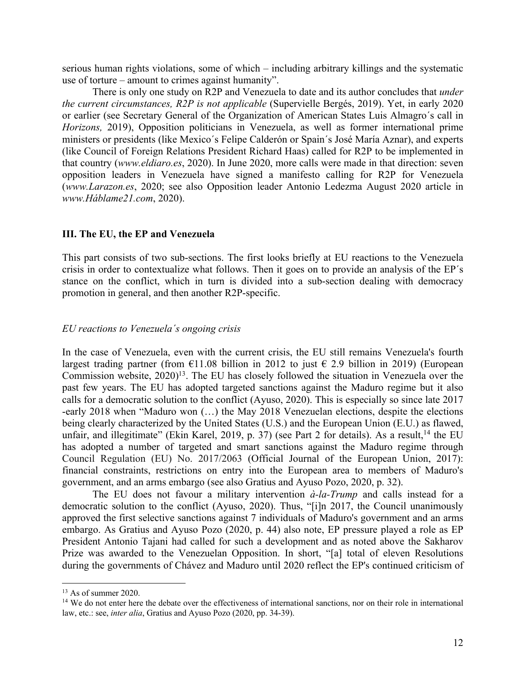serious human rights violations, some of which – including arbitrary killings and the systematic use of torture – amount to crimes against humanity".

There is only one study on R2P and Venezuela to date and its author concludes that *under the current circumstances, R2P is not applicable* (Supervielle Bergés, 2019). Yet, in early 2020 or earlier (see Secretary General of the Organization of American States Luis Almagro´s call in *Horizons,* 2019), Opposition politicians in Venezuela, as well as former international prime ministers or presidents (like Mexico´s Felipe Calderón or Spain´s José María Aznar), and experts (like Council of Foreign Relations President Richard Haas) called for R2P to be implemented in that country (*www.eldiaro.es*, 2020). In June 2020, more calls were made in that direction: seven opposition leaders in Venezuela have signed a manifesto calling for R2P for Venezuela (*www.Larazon.es*, 2020; see also Opposition leader Antonio Ledezma August 2020 article in *www.Háblame21.com*, 2020).

#### **III. The EU, the EP and Venezuela**

This part consists of two sub-sections. The first looks briefly at EU reactions to the Venezuela crisis in order to contextualize what follows. Then it goes on to provide an analysis of the EP´s stance on the conflict, which in turn is divided into a sub-section dealing with democracy promotion in general, and then another R2P-specific.

#### *EU reactions to Venezuela´s ongoing crisis*

In the case of Venezuela, even with the current crisis, the EU still remains Venezuela's fourth largest trading partner (from  $\epsilon$ 11.08 billion in 2012 to just  $\epsilon$  2.9 billion in 2019) (European Commission website, 2020)<sup>13</sup>. The EU has closely followed the situation in Venezuela over the past few years. The EU has adopted targeted sanctions against the Maduro regime but it also calls for a democratic solution to the conflict (Ayuso, 2020). This is especially so since late 2017 -early 2018 when "Maduro won (…) the May 2018 Venezuelan elections, despite the elections being clearly characterized by the United States (U.S.) and the European Union (E.U.) as flawed, unfair, and illegitimate" (Ekin Karel, 2019, p. 37) (see Part 2 for details). As a result,  $14$  the EU has adopted a number of targeted and smart sanctions against the Maduro regime through Council Regulation (EU) No. 2017/2063 (Official Journal of the European Union, 2017): financial constraints, restrictions on entry into the European area to members of Maduro's government, and an arms embargo (see also Gratius and Ayuso Pozo, 2020, p. 32).

The EU does not favour a military intervention *à-la-Trump* and calls instead for a democratic solution to the conflict (Ayuso, 2020). Thus, "[i]n 2017, the Council unanimously approved the first selective sanctions against 7 individuals of Maduro's government and an arms embargo. As Gratius and Ayuso Pozo (2020, p. 44) also note, EP pressure played a role as EP President Antonio Tajani had called for such a development and as noted above the Sakharov Prize was awarded to the Venezuelan Opposition. In short, "[a] total of eleven Resolutions during the governments of Chávez and Maduro until 2020 reflect the EP's continued criticism of

<sup>&</sup>lt;sup>13</sup> As of summer 2020.

<sup>&</sup>lt;sup>14</sup> We do not enter here the debate over the effectiveness of international sanctions, nor on their role in international law, etc.: see, *inter alia*, Gratius and Ayuso Pozo (2020, pp. 34-39).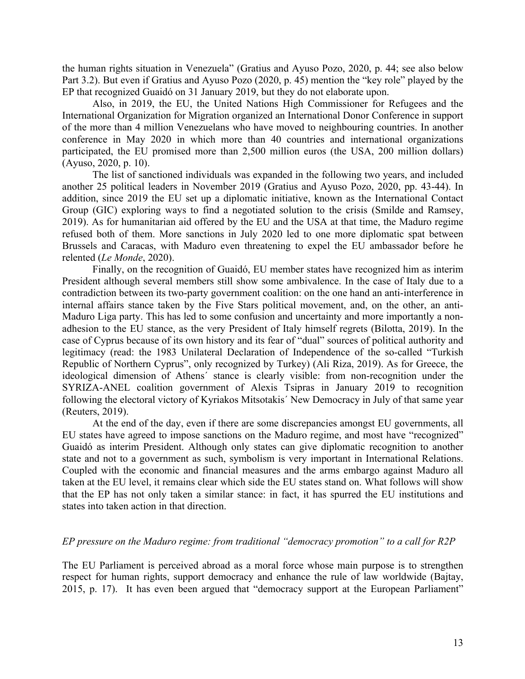the human rights situation in Venezuela" (Gratius and Ayuso Pozo, 2020, p. 44; see also below Part 3.2). But even if Gratius and Ayuso Pozo (2020, p. 45) mention the "key role" played by the EP that recognized Guaidó on 31 January 2019, but they do not elaborate upon.

Also, in 2019, the EU, the United Nations High Commissioner for Refugees and the International Organization for Migration organized an International Donor Conference in support of the more than 4 million Venezuelans who have moved to neighbouring countries. In another conference in May 2020 in which more than 40 countries and international organizations participated, the EU promised more than 2,500 million euros (the USA, 200 million dollars) (Ayuso, 2020, p. 10).

The list of sanctioned individuals was expanded in the following two years, and included another 25 political leaders in November 2019 (Gratius and Ayuso Pozo, 2020, pp. 43-44). In addition, since 2019 the EU set up a diplomatic initiative, known as the International Contact Group (GIC) exploring ways to find a negotiated solution to the crisis (Smilde and Ramsey, 2019). As for humanitarian aid offered by the EU and the USA at that time, the Maduro regime refused both of them. More sanctions in July 2020 led to one more diplomatic spat between Brussels and Caracas, with Maduro even threatening to expel the EU ambassador before he relented (*Le Monde*, 2020).

Finally, on the recognition of Guaidó, EU member states have recognized him as interim President although several members still show some ambivalence. In the case of Italy due to a contradiction between its two-party government coalition: on the one hand an anti-interference in internal affairs stance taken by the Five Stars political movement, and, on the other, an anti-Maduro Liga party. This has led to some confusion and uncertainty and more importantly a nonadhesion to the EU stance, as the very President of Italy himself regrets (Bilotta, 2019). In the case of Cyprus because of its own history and its fear of "dual" sources of political authority and legitimacy (read: the 1983 Unilateral Declaration of Independence of the so-called "Turkish Republic of Northern Cyprus", only recognized by Turkey) (Ali Riza, 2019). As for Greece, the ideological dimension of Athens´ stance is clearly visible: from non-recognition under the SYRIZA-ANEL coalition government of Alexis Tsipras in January 2019 to recognition following the electoral victory of Kyriakos Mitsotakis´ New Democracy in July of that same year (Reuters, 2019).

At the end of the day, even if there are some discrepancies amongst EU governments, all EU states have agreed to impose sanctions on the Maduro regime, and most have "recognized" Guaidó as interim President. Although only states can give diplomatic recognition to another state and not to a government as such, symbolism is very important in International Relations. Coupled with the economic and financial measures and the arms embargo against Maduro all taken at the EU level, it remains clear which side the EU states stand on. What follows will show that the EP has not only taken a similar stance: in fact, it has spurred the EU institutions and states into taken action in that direction.

#### *EP pressure on the Maduro regime: from traditional "democracy promotion" to a call for R2P*

The EU Parliament is perceived abroad as a moral force whose main purpose is to strengthen respect for human rights, support democracy and enhance the rule of law worldwide (Bajtay, 2015, p. 17). It has even been argued that "democracy support at the European Parliament"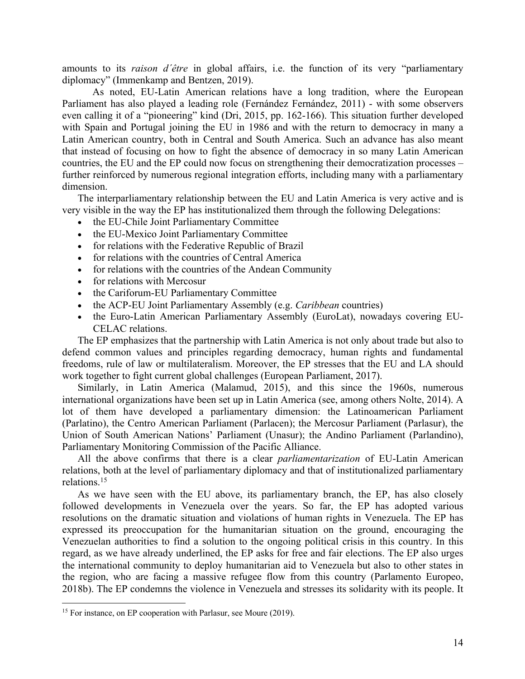amounts to its *raison d´être* in global affairs, i.e. the function of its very "parliamentary diplomacy" (Immenkamp and Bentzen, 2019).

As noted, EU-Latin American relations have a long tradition, where the European Parliament has also played a leading role (Fernández Fernández, 2011) - with some observers even calling it of a "pioneering" kind (Dri, 2015, pp. 162-166). This situation further developed with Spain and Portugal joining the EU in 1986 and with the return to democracy in many a Latin American country, both in Central and South America. Such an advance has also meant that instead of focusing on how to fight the absence of democracy in so many Latin American countries, the EU and the EP could now focus on strengthening their democratization processes – further reinforced by numerous regional integration efforts, including many with a parliamentary dimension.

The interparliamentary relationship between the EU and Latin America is very active and is very visible in the way the EP has institutionalized them through the following Delegations:

- the EU-Chile Joint Parliamentary Committee
- the EU-Mexico Joint Parliamentary Committee
- for relations with the Federative Republic of Brazil
- for relations with the countries of Central America
- for relations with the countries of the Andean Community
- for relations with Mercosur
- the Cariforum-EU Parliamentary Committee
- the ACP-EU Joint Parliamentary Assembly (e.g. *Caribbean* countries)
- the Euro-Latin American Parliamentary Assembly (EuroLat), nowadays covering EU-CELAC relations.

The EP emphasizes that the partnership with Latin America is not only about trade but also to defend common values and principles regarding democracy, human rights and fundamental freedoms, rule of law or multilateralism. Moreover, the EP stresses that the EU and LA should work together to fight current global challenges (European Parliament, 2017).

Similarly, in Latin America (Malamud, 2015), and this since the 1960s, numerous international organizations have been set up in Latin America (see, among others Nolte, 2014). A lot of them have developed a parliamentary dimension: the Latinoamerican Parliament (Parlatino), the Centro American Parliament (Parlacen); the Mercosur Parliament (Parlasur), the Union of South American Nations' Parliament (Unasur); the Andino Parliament (Parlandino), Parliamentary Monitoring Commission of the Pacific Alliance.

All the above confirms that there is a clear *parliamentarization* of EU-Latin American relations, both at the level of parliamentary diplomacy and that of institutionalized parliamentary relations.15

As we have seen with the EU above, its parliamentary branch, the EP, has also closely followed developments in Venezuela over the years. So far, the EP has adopted various resolutions on the dramatic situation and violations of human rights in Venezuela. The EP has expressed its preoccupation for the humanitarian situation on the ground, encouraging the Venezuelan authorities to find a solution to the ongoing political crisis in this country. In this regard, as we have already underlined, the EP asks for free and fair elections. The EP also urges the international community to deploy humanitarian aid to Venezuela but also to other states in the region, who are facing a massive refugee flow from this country (Parlamento Europeo, 2018b). The EP condemns the violence in Venezuela and stresses its solidarity with its people. It

<sup>&</sup>lt;sup>15</sup> For instance, on EP cooperation with Parlasur, see Moure (2019).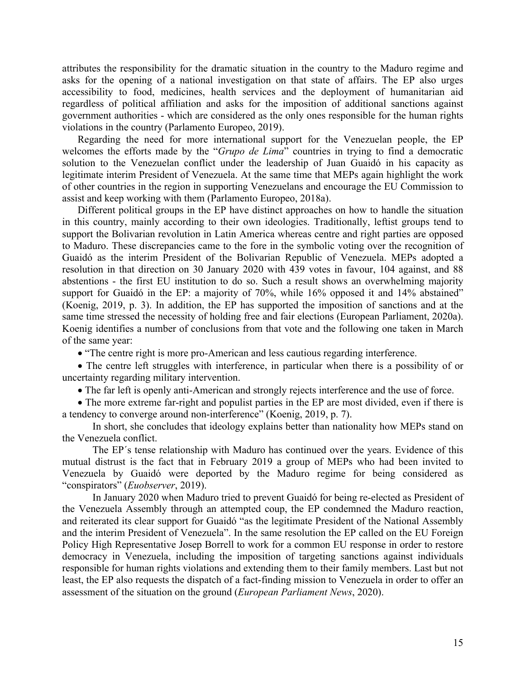attributes the responsibility for the dramatic situation in the country to the Maduro regime and asks for the opening of a national investigation on that state of affairs. The EP also urges accessibility to food, medicines, health services and the deployment of humanitarian aid regardless of political affiliation and asks for the imposition of additional sanctions against government authorities - which are considered as the only ones responsible for the human rights violations in the country (Parlamento Europeo, 2019).

Regarding the need for more international support for the Venezuelan people, the EP welcomes the efforts made by the "*Grupo de Lima*" countries in trying to find a democratic solution to the Venezuelan conflict under the leadership of Juan Guaidó in his capacity as legitimate interim President of Venezuela. At the same time that MEPs again highlight the work of other countries in the region in supporting Venezuelans and encourage the EU Commission to assist and keep working with them (Parlamento Europeo, 2018a).

Different political groups in the EP have distinct approaches on how to handle the situation in this country, mainly according to their own ideologies. Traditionally, leftist groups tend to support the Bolivarian revolution in Latin America whereas centre and right parties are opposed to Maduro. These discrepancies came to the fore in the symbolic voting over the recognition of Guaidó as the interim President of the Bolivarian Republic of Venezuela. MEPs adopted a resolution in that direction on 30 January 2020 with 439 votes in favour, 104 against, and 88 abstentions - the first EU institution to do so. Such a result shows an overwhelming majority support for Guaidó in the EP: a majority of 70%, while 16% opposed it and 14% abstained" (Koenig, 2019, p. 3). In addition, the EP has supported the imposition of sanctions and at the same time stressed the necessity of holding free and fair elections (European Parliament, 2020a). Koenig identifies a number of conclusions from that vote and the following one taken in March of the same year:

• "The centre right is more pro-American and less cautious regarding interference.

• The centre left struggles with interference, in particular when there is a possibility of or uncertainty regarding military intervention.

• The far left is openly anti-American and strongly rejects interference and the use of force.

• The more extreme far-right and populist parties in the EP are most divided, even if there is a tendency to converge around non-interference" (Koenig, 2019, p. 7).

In short, she concludes that ideology explains better than nationality how MEPs stand on the Venezuela conflict.

The EP´s tense relationship with Maduro has continued over the years. Evidence of this mutual distrust is the fact that in February 2019 a group of MEPs who had been invited to Venezuela by Guaidó were deported by the Maduro regime for being considered as "conspirators" (*Euobserver*, 2019).

In January 2020 when Maduro tried to prevent Guaidó for being re-elected as President of the Venezuela Assembly through an attempted coup, the EP condemned the Maduro reaction, and reiterated its clear support for Guaidó "as the legitimate President of the National Assembly and the interim President of Venezuela". In the same resolution the EP called on the EU Foreign Policy High Representative Josep Borrell to work for a common EU response in order to restore democracy in Venezuela, including the imposition of targeting sanctions against individuals responsible for human rights violations and extending them to their family members. Last but not least, the EP also requests the dispatch of a fact-finding mission to Venezuela in order to offer an assessment of the situation on the ground (*European Parliament News*, 2020).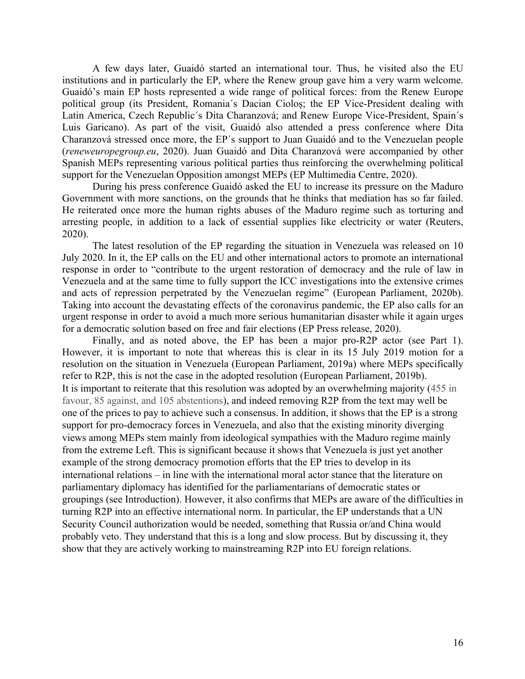A few days later, Guaidó started an international tour. Thus, he visited also the EU institutions and in particularly the EP, where the Renew group gave him a very warm welcome. Guaidó's main EP hosts represented a wide range of political forces: from the Renew Europe political group (its President, Romania´s Dacian Cioloș; the EP Vice-President dealing with Latin America, Czech Republic´s Dita Charanzová; and Renew Europe Vice-President, Spain´s Luis Garicano). As part of the visit, Guaidó also attended a press conference where Dita Charanzová stressed once more, the EP´s support to Juan Guaidó and to the Venezuelan people (*reneweuropegroup.eu*, 2020). Juan Guaidó and Dita Charanzová were accompanied by other Spanish MEPs representing various political parties thus reinforcing the overwhelming political support for the Venezuelan Opposition amongst MEPs (EP Multimedia Centre, 2020).

During his press conference Guaidó asked the EU to increase its pressure on the Maduro Government with more sanctions, on the grounds that he thinks that mediation has so far failed. He reiterated once more the human rights abuses of the Maduro regime such as torturing and arresting people, in addition to a lack of essential supplies like electricity or water (Reuters, 2020).

The latest resolution of the EP regarding the situation in Venezuela was released on 10 July 2020. In it, the EP calls on the EU and other international actors to promote an international response in order to "contribute to the urgent restoration of democracy and the rule of law in Venezuela and at the same time to fully support the ICC investigations into the extensive crimes and acts of repression perpetrated by the Venezuelan regime" (European Parliament, 2020b). Taking into account the devastating effects of the coronavirus pandemic, the EP also calls for an urgent response in order to avoid a much more serious humanitarian disaster while it again urges for a democratic solution based on free and fair elections (EP Press release, 2020).

Finally, and as noted above, the EP has been a major pro-R2P actor (see Part 1). However, it is important to note that whereas this is clear in its 15 July 2019 motion for a resolution on the situation in Venezuela (European Parliament, 2019a) where MEPs specifically refer to R2P, this is not the case in the adopted resolution (European Parliament, 2019b). It is important to reiterate that this resolution was adopted by an overwhelming majority (455 in favour, 85 against, and 105 abstentions), and indeed removing R2P from the text may well be one of the prices to pay to achieve such a consensus. In addition, it shows that the EP is a strong support for pro-democracy forces in Venezuela, and also that the existing minority diverging views among MEPs stem mainly from ideological sympathies with the Maduro regime mainly from the extreme Left. This is significant because it shows that Venezuela is just yet another example of the strong democracy promotion efforts that the EP tries to develop in its international relations – in line with the international moral actor stance that the literature on parliamentary diplomacy has identified for the parliamentarians of democratic states or groupings (see Introduction). However, it also confirms that MEPs are aware of the difficulties in turning R2P into an effective international norm. In particular, the EP understands that a UN Security Council authorization would be needed, something that Russia or/and China would probably veto. They understand that this is a long and slow process. But by discussing it, they show that they are actively working to mainstreaming R2P into EU foreign relations.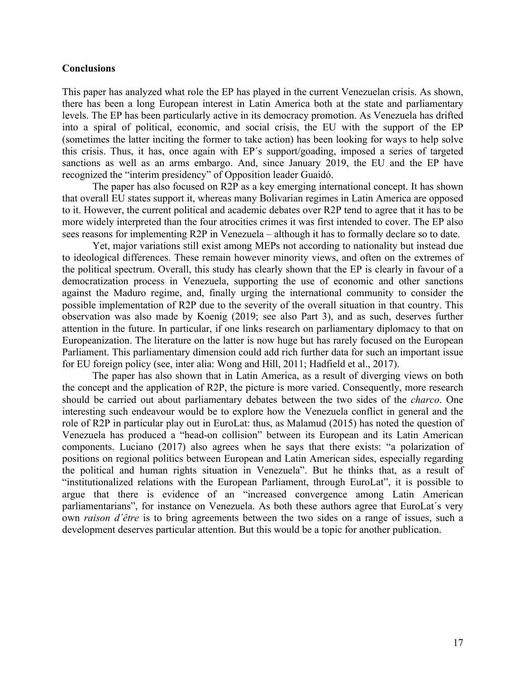#### **Conclusions**

This paper has analyzed what role the EP has played in the current Venezuelan crisis. As shown, there has been a long European interest in Latin America both at the state and parliamentary levels. The EP has been particularly active in its democracy promotion. As Venezuela has drifted into a spiral of political, economic, and social crisis, the EU with the support of the EP (sometimes the latter inciting the former to take action) has been looking for ways to help solve this crisis. Thus, it has, once again with EP´s support/goading, imposed a series of targeted sanctions as well as an arms embargo. And, since January 2019, the EU and the EP have recognized the "interim presidency" of Opposition leader Guaidó.

The paper has also focused on R2P as a key emerging international concept. It has shown that overall EU states support it, whereas many Bolivarian regimes in Latin America are opposed to it. However, the current political and academic debates over R2P tend to agree that it has to be more widely interpreted than the four atrocities crimes it was first intended to cover. The EP also sees reasons for implementing R2P in Venezuela – although it has to formally declare so to date.

Yet, major variations still exist among MEPs not according to nationality but instead due to ideological differences. These remain however minority views, and often on the extremes of the political spectrum. Overall, this study has clearly shown that the EP is clearly in favour of a democratization process in Venezuela, supporting the use of economic and other sanctions against the Maduro regime, and, finally urging the international community to consider the possible implementation of R2P due to the severity of the overall situation in that country. This observation was also made by Koenig (2019; see also Part 3), and as such, deserves further attention in the future. In particular, if one links research on parliamentary diplomacy to that on Europeanization. The literature on the latter is now huge but has rarely focused on the European Parliament. This parliamentary dimension could add rich further data for such an important issue for EU foreign policy (see, inter alia: Wong and Hill, 2011; Hadfield et al., 2017).

The paper has also shown that in Latin America, as a result of diverging views on both the concept and the application of R2P, the picture is more varied. Consequently, more research should be carried out about parliamentary debates between the two sides of the *charco*. One interesting such endeavour would be to explore how the Venezuela conflict in general and the role of R2P in particular play out in EuroLat: thus, as Malamud (2015) has noted the question of Venezuela has produced a "head-on collision" between its European and its Latin American components. Luciano (2017) also agrees when he says that there exists: "a polarization of positions on regional politics between European and Latin American sides, especially regarding the political and human rights situation in Venezuela". But he thinks that, as a result of "institutionalized relations with the European Parliament, through EuroLat", it is possible to argue that there is evidence of an "increased convergence among Latin American parliamentarians", for instance on Venezuela. As both these authors agree that EuroLat´s very own *raison d´être* is to bring agreements between the two sides on a range of issues, such a development deserves particular attention. But this would be a topic for another publication.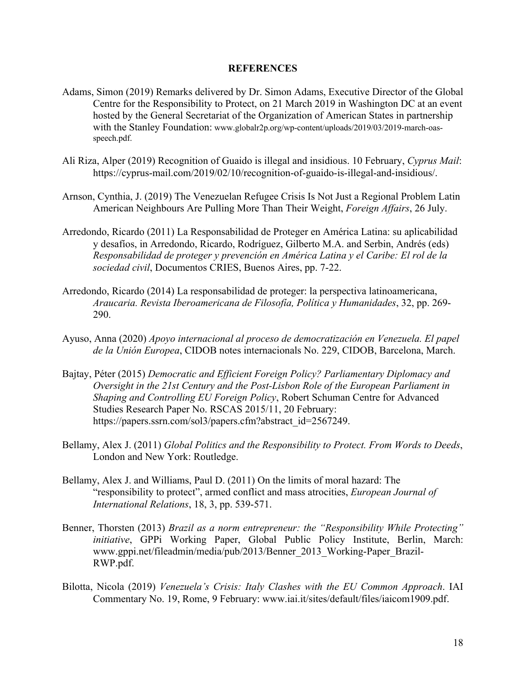#### **REFERENCES**

- Adams, Simon (2019) Remarks delivered by Dr. Simon Adams, Executive Director of the Global Centre for the Responsibility to Protect, on 21 March 2019 in Washington DC at an event hosted by the General Secretariat of the Organization of American States in partnership with the Stanley Foundation: www.globalr2p.org/wp-content/uploads/2019/03/2019-march-oasspeech.pdf.
- Ali Riza, Alper (2019) Recognition of Guaido is illegal and insidious. 10 February, *Cyprus Mail*: https://cyprus-mail.com/2019/02/10/recognition-of-guaido-is-illegal-and-insidious/.
- Arnson, Cynthia, J. (2019) The Venezuelan Refugee Crisis Is Not Just a Regional Problem Latin American Neighbours Are Pulling More Than Their Weight, *Foreign Affairs*, 26 July.
- Arredondo, Ricardo (2011) La Responsabilidad de Proteger en América Latina: su aplicabilidad y desafíos, in Arredondo, Ricardo, Rodríguez, Gilberto M.A. and Serbin, Andrés (eds) *Responsabilidad de proteger y prevención en América Latina y el Caribe: El rol de la sociedad civil*, Documentos CRIES, Buenos Aires, pp. 7-22.
- Arredondo, Ricardo (2014) La responsabilidad de proteger: la perspectiva latinoamericana, *Araucaria. Revista Iberoamericana de Filosofía, Política y Humanidades*, 32, pp. 269- 290.
- Ayuso, Anna (2020) *Apoyo internacional al proceso de democratización en Venezuela. El papel de la Unión Europea*, CIDOB notes internacionals No. 229, CIDOB, Barcelona, March.
- Bajtay, Péter (2015) *Democratic and Efficient Foreign Policy? Parliamentary Diplomacy and Oversight in the 21st Century and the Post-Lisbon Role of the European Parliament in Shaping and Controlling EU Foreign Policy*, Robert Schuman Centre for Advanced Studies Research Paper No. RSCAS 2015/11, 20 February: https://papers.ssrn.com/sol3/papers.cfm?abstract\_id=2567249.
- Bellamy, Alex J. (2011) *Global Politics and the Responsibility to Protect. From Words to Deeds*, London and New York: Routledge.
- Bellamy, Alex J. and Williams, Paul D. (2011) On the limits of moral hazard: The "responsibility to protect", armed conflict and mass atrocities, *European Journal of International Relations*, 18, 3, pp. 539-571.
- Benner, Thorsten (2013) *Brazil as a norm entrepreneur: the "Responsibility While Protecting" initiative*, GPPi Working Paper, Global Public Policy Institute, Berlin, March: www.gppi.net/fileadmin/media/pub/2013/Benner\_2013\_Working-Paper\_Brazil-RWP.pdf.
- Bilotta, Nicola (2019) *Venezuela's Crisis: Italy Clashes with the EU Common Approach*. IAI Commentary No. 19, Rome, 9 February: www.iai.it/sites/default/files/iaicom1909.pdf.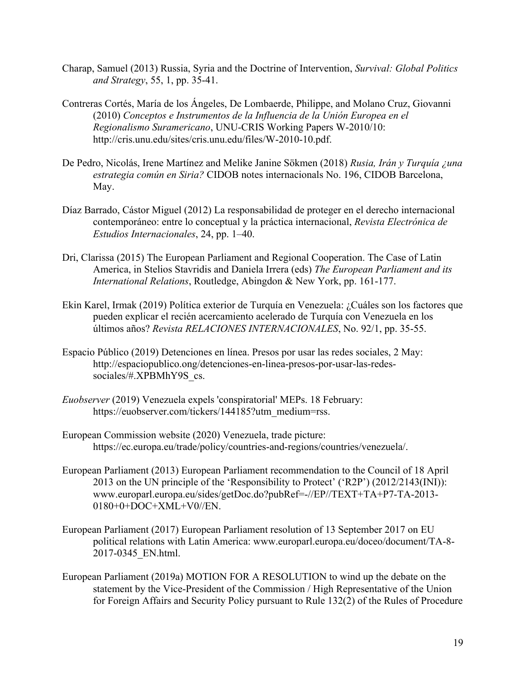- Charap, Samuel (2013) Russia, Syria and the Doctrine of Intervention, *Survival: Global Politics and Strategy*, 55, 1, pp. 35-41.
- Contreras Cortés, María de los Ángeles, De Lombaerde, Philippe, and Molano Cruz, Giovanni (2010) *Conceptos e Instrumentos de la Influencia de la Unión Europea en el Regionalismo Suramericano*, UNU-CRIS Working Papers W-2010/10: http://cris.unu.edu/sites/cris.unu.edu/files/W-2010-10.pdf.
- De Pedro, Nicolás, Irene Martínez and Melike Janine Sökmen (2018) *Rusia, Irán y Turquía ¿una estrategia común en Siria?* CIDOB notes internacionals No. 196, CIDOB Barcelona, May.
- Díaz Barrado, Cástor Miguel (2012) La responsabilidad de proteger en el derecho internacional contemporáneo: entre lo conceptual y la práctica internacional, *Revista Electrónica de Estudios Internacionales*, 24, pp. 1–40.
- Dri, Clarissa (2015) The European Parliament and Regional Cooperation. The Case of Latin America, in Stelios Stavridis and Daniela Irrera (eds) *The European Parliament and its International Relations*, Routledge, Abingdon & New York, pp. 161-177.
- Ekin Karel, Irmak (2019) Política exterior de Turquía en Venezuela: ¿Cuáles son los factores que pueden explicar el recién acercamiento acelerado de Turquía con Venezuela en los últimos años? *Revista RELACIONES INTERNACIONALES*, No. 92/1, pp. 35-55.
- Espacio Público (2019) Detenciones en línea. Presos por usar las redes sociales, 2 May: http://espaciopublico.ong/detenciones-en-linea-presos-por-usar-las-redessociales/#.XPBMhY9S\_cs.
- *Euobserver* (2019) Venezuela expels 'conspiratorial' MEPs. 18 February: https://euobserver.com/tickers/144185?utm\_medium=rss.
- European Commission website (2020) Venezuela, trade picture: https://ec.europa.eu/trade/policy/countries-and-regions/countries/venezuela/.
- European Parliament (2013) European Parliament recommendation to the Council of 18 April 2013 on the UN principle of the 'Responsibility to Protect' ('R2P') (2012/2143(INI)): www.europarl.europa.eu/sides/getDoc.do?pubRef=-//EP//TEXT+TA+P7-TA-2013- 0180+0+DOC+XML+V0//EN.
- European Parliament (2017) European Parliament resolution of 13 September 2017 on EU political relations with Latin America: www.europarl.europa.eu/doceo/document/TA-8- 2017-0345\_EN.html.
- European Parliament (2019a) MOTION FOR A RESOLUTION to wind up the debate on the statement by the Vice-President of the Commission / High Representative of the Union for Foreign Affairs and Security Policy pursuant to Rule 132(2) of the Rules of Procedure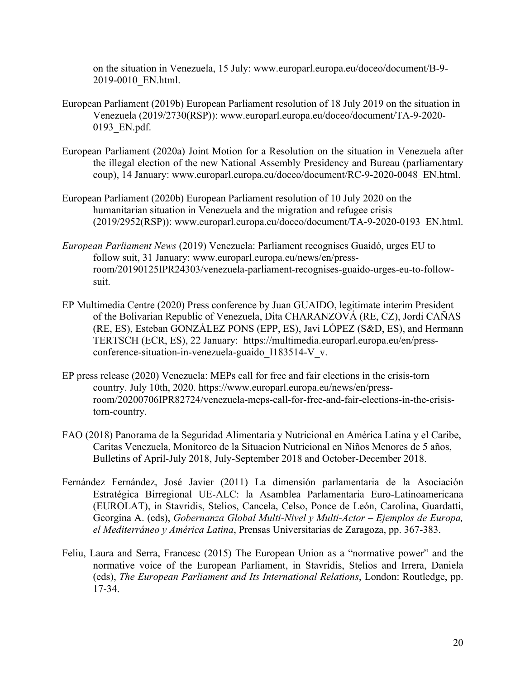on the situation in Venezuela, 15 July: www.europarl.europa.eu/doceo/document/B-9- 2019-0010\_EN.html.

- European Parliament (2019b) European Parliament resolution of 18 July 2019 on the situation in Venezuela (2019/2730(RSP)): www.europarl.europa.eu/doceo/document/TA-9-2020- 0193\_EN.pdf.
- European Parliament (2020a) Joint Motion for a Resolution on the situation in Venezuela after the illegal election of the new National Assembly Presidency and Bureau (parliamentary coup), 14 January: www.europarl.europa.eu/doceo/document/RC-9-2020-0048\_EN.html.
- European Parliament (2020b) European Parliament resolution of 10 July 2020 on the humanitarian situation in Venezuela and the migration and refugee crisis (2019/2952(RSP)): www.europarl.europa.eu/doceo/document/TA-9-2020-0193\_EN.html.
- *European Parliament News* (2019) Venezuela: Parliament recognises Guaidó, urges EU to follow suit, 31 January: www.europarl.europa.eu/news/en/pressroom/20190125IPR24303/venezuela-parliament-recognises-guaido-urges-eu-to-followsuit.
- EP Multimedia Centre (2020) Press conference by Juan GUAIDO, legitimate interim President of the Bolivarian Republic of Venezuela, Dita CHARANZOVÁ (RE, CZ), Jordi CAÑAS (RE, ES), Esteban GONZÁLEZ PONS (EPP, ES), Javi LÓPEZ (S&D, ES), and Hermann TERTSCH (ECR, ES), 22 January: https://multimedia.europarl.europa.eu/en/pressconference-situation-in-venezuela-guaido\_I183514-V\_v.
- EP press release (2020) Venezuela: MEPs call for free and fair elections in the crisis-torn country. July 10th, 2020. https://www.europarl.europa.eu/news/en/pressroom/20200706IPR82724/venezuela-meps-call-for-free-and-fair-elections-in-the-crisistorn-country.
- FAO (2018) Panorama de la Seguridad Alimentaria y Nutricional en América Latina y el Caribe, Caritas Venezuela, Monitoreo de la Situacion Nutricional en Niños Menores de 5 años, Bulletins of April-July 2018, July-September 2018 and October-December 2018.
- Fernández Fernández, José Javier (2011) La dimensión parlamentaria de la Asociación Estratégica Birregional UE-ALC: la Asamblea Parlamentaria Euro-Latinoamericana (EUROLAT), in Stavridis, Stelios, Cancela, Celso, Ponce de León, Carolina, Guardatti, Georgina A. (eds), *Gobernanza Global Multi-Nivel y Multi-Actor – Ejemplos de Europa, el Mediterráneo y América Latina*, Prensas Universitarias de Zaragoza, pp. 367-383.
- Feliu, Laura and Serra, Francesc (2015) The European Union as a "normative power" and the normative voice of the European Parliament, in Stavridis, Stelios and Irrera, Daniela (eds), *The European Parliament and Its International Relations*, London: Routledge, pp. 17-34.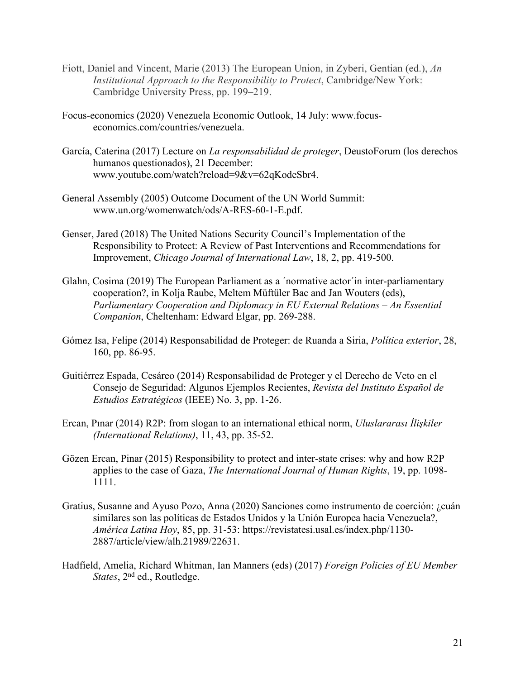- Fiott, Daniel and Vincent, Marie (2013) The European Union, in Zyberi, Gentian (ed.), *An Institutional Approach to the Responsibility to Protect*, Cambridge/New York: Cambridge University Press, pp. 199–219.
- Focus-economics (2020) Venezuela Economic Outlook, 14 July: www.focuseconomics.com/countries/venezuela.
- García, Caterina (2017) Lecture on *La responsabilidad de proteger*, DeustoForum (los derechos humanos questionados), 21 December: www.youtube.com/watch?reload=9&v=62qKodeSbr4.
- General Assembly (2005) Outcome Document of the UN World Summit: www.un.org/womenwatch/ods/A-RES-60-1-E.pdf.
- Genser, Jared (2018) The United Nations Security Council's Implementation of the Responsibility to Protect: A Review of Past Interventions and Recommendations for Improvement, *Chicago Journal of International Law*, 18, 2, pp. 419-500.
- Glahn, Cosima (2019) The European Parliament as a ´normative actor´in inter-parliamentary cooperation?, in Kolja Raube, Meltem Müftüler Bac and Jan Wouters (eds), *Parliamentary Cooperation and Diplomacy in EU External Relations – An Essential Companion*, Cheltenham: Edward Elgar, pp. 269-288.
- Gómez Isa, Felipe (2014) Responsabilidad de Proteger: de Ruanda a Siria, *Política exterior*, 28, 160, pp. 86-95.
- Guitiérrez Espada, Cesáreo (2014) Responsabilidad de Proteger y el Derecho de Veto en el Consejo de Seguridad: Algunos Ejemplos Recientes, *Revista del Instituto Español de Estudios Estratégicos* (IEEE) No. 3, pp. 1-26.
- Ercan, Pınar (2014) R2P: from slogan to an international ethical norm, *Uluslararası İlişkiler (International Relations)*, 11, 43, pp. 35-52.
- Gözen Ercan, Pinar (2015) Responsibility to protect and inter-state crises: why and how R2P applies to the case of Gaza, *The International Journal of Human Rights*, 19, pp. 1098- 1111.
- Gratius, Susanne and Ayuso Pozo, Anna (2020) Sanciones como instrumento de coerción: ¿cuán similares son las políticas de Estados Unidos y la Unión Europea hacia Venezuela?, *América Latina Hoy*, 85, pp. 31-53: https://revistatesi.usal.es/index.php/1130- 2887/article/view/alh.21989/22631.
- Hadfield, Amelia, Richard Whitman, Ian Manners (eds) (2017) *Foreign Policies of EU Member States*, 2nd ed., Routledge.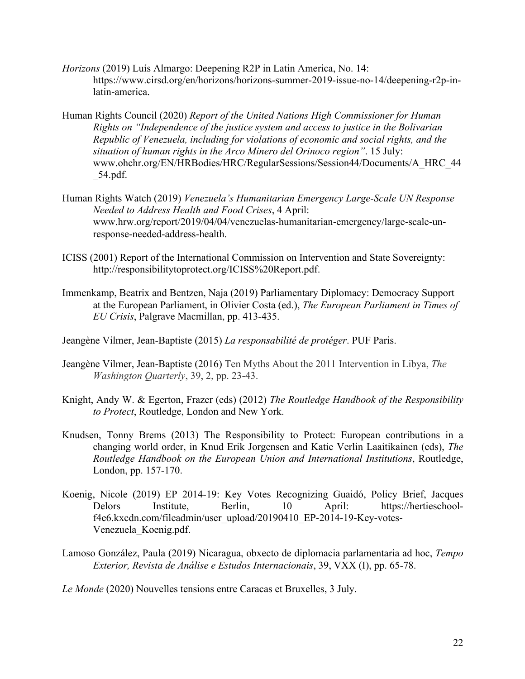- *Horizons* (2019) Luís Almargo: Deepening R2P in Latin America, No. 14: https://www.cirsd.org/en/horizons/horizons-summer-2019-issue-no-14/deepening-r2p-inlatin-america.
- Human Rights Council (2020) *Report of the United Nations High Commissioner for Human Rights on "Independence of the justice system and access to justice in the Bolivarian Republic of Venezuela, including for violations of economic and social rights, and the situation of human rights in the Arco Minero del Orinoco region"*. 15 July: www.ohchr.org/EN/HRBodies/HRC/RegularSessions/Session44/Documents/A\_HRC\_44 \_54.pdf.
- Human Rights Watch (2019) *Venezuela's Humanitarian Emergency Large-Scale UN Response Needed to Address Health and Food Crises*, 4 April: www.hrw.org/report/2019/04/04/venezuelas-humanitarian-emergency/large-scale-unresponse-needed-address-health.
- ICISS (2001) Report of the International Commission on Intervention and State Sovereignty: http://responsibilitytoprotect.org/ICISS%20Report.pdf.
- Immenkamp, Beatrix and Bentzen, Naja (2019) Parliamentary Diplomacy: Democracy Support at the European Parliament, in Olivier Costa (ed.), *The European Parliament in Times of EU Crisis*, Palgrave Macmillan, pp. 413-435.
- Jeangène Vilmer, Jean-Baptiste (2015) *La responsabilité de protéger*. PUF Paris.
- Jeangène Vilmer, Jean-Baptiste (2016) Ten Myths About the 2011 Intervention in Libya, *The Washington Quarterly*, 39, 2, pp. 23-43.
- Knight, Andy W. & Egerton, Frazer (eds) (2012) *The Routledge Handbook of the Responsibility to Protect*, Routledge, London and New York.
- Knudsen, Tonny Brems (2013) The Responsibility to Protect: European contributions in a changing world order, in Knud Erik Jorgensen and Katie Verlin Laaitikainen (eds), *The Routledge Handbook on the European Union and International Institutions*, Routledge, London, pp. 157-170.
- Koenig, Nicole (2019) EP 2014-19: Key Votes Recognizing Guaidó, Policy Brief, Jacques Delors Institute, Berlin, 10 April: https://hertieschoolf4e6.kxcdn.com/fileadmin/user\_upload/20190410\_EP-2014-19-Key-votes-Venezuela\_Koenig.pdf.
- Lamoso González, Paula (2019) Nicaragua, obxecto de diplomacia parlamentaria ad hoc, *Tempo Exterior, Revista de Análise e Estudos Internacionais*, 39, VXX (I), pp. 65-78.

*Le Monde* (2020) Nouvelles tensions entre Caracas et Bruxelles, 3 July.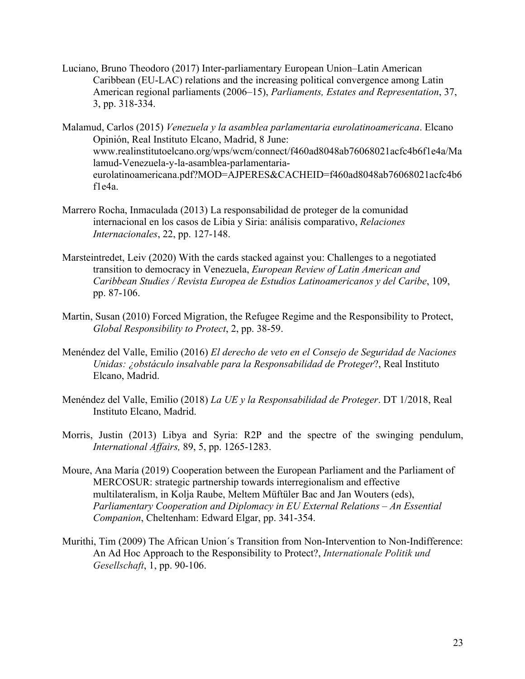- Luciano, Bruno Theodoro (2017) Inter-parliamentary European Union–Latin American Caribbean (EU-LAC) relations and the increasing political convergence among Latin American regional parliaments (2006–15), *Parliaments, Estates and Representation*, 37, 3, pp. 318-334.
- Malamud, Carlos (2015) *Venezuela y la asamblea parlamentaria eurolatinoamericana*. Elcano Opinión, Real Instituto Elcano, Madrid, 8 June: www.realinstitutoelcano.org/wps/wcm/connect/f460ad8048ab76068021acfc4b6f1e4a/Ma lamud-Venezuela-y-la-asamblea-parlamentariaeurolatinoamericana.pdf?MOD=AJPERES&CACHEID=f460ad8048ab76068021acfc4b6 f1e4a.
- Marrero Rocha, Inmaculada (2013) La responsabilidad de proteger de la comunidad internacional en los casos de Libia y Siria: análisis comparativo, *Relaciones Internacionales*, 22, pp. 127-148.
- Marsteintredet, Leiv (2020) With the cards stacked against you: Challenges to a negotiated transition to democracy in Venezuela, *European Review of Latin American and Caribbean Studies / Revista Europea de Estudios Latinoamericanos y del Caribe*, 109, pp. 87-106.
- Martin, Susan (2010) Forced Migration, the Refugee Regime and the Responsibility to Protect, *Global Responsibility to Protect*, 2, pp. 38-59.
- Menéndez del Valle, Emilio (2016) *El derecho de veto en el Consejo de Seguridad de Naciones Unidas: ¿obstáculo insalvable para la Responsabilidad de Proteger*?, Real Instituto Elcano, Madrid.
- Menéndez del Valle, Emilio (2018) *La UE y la Responsabilidad de Proteger*. DT 1/2018, Real Instituto Elcano, Madrid.
- Morris, Justin (2013) Libya and Syria: R2P and the spectre of the swinging pendulum, *International Affairs,* 89, 5, pp. 1265-1283.
- Moure, Ana María (2019) Cooperation between the European Parliament and the Parliament of MERCOSUR: strategic partnership towards interregionalism and effective multilateralism, in Kolja Raube, Meltem Müftüler Bac and Jan Wouters (eds), *Parliamentary Cooperation and Diplomacy in EU External Relations – An Essential Companion*, Cheltenham: Edward Elgar, pp. 341-354.
- Murithi, Tim (2009) The African Union´s Transition from Non-Intervention to Non-Indifference: An Ad Hoc Approach to the Responsibility to Protect?, *Internationale Politik und Gesellschaft*, 1, pp. 90-106.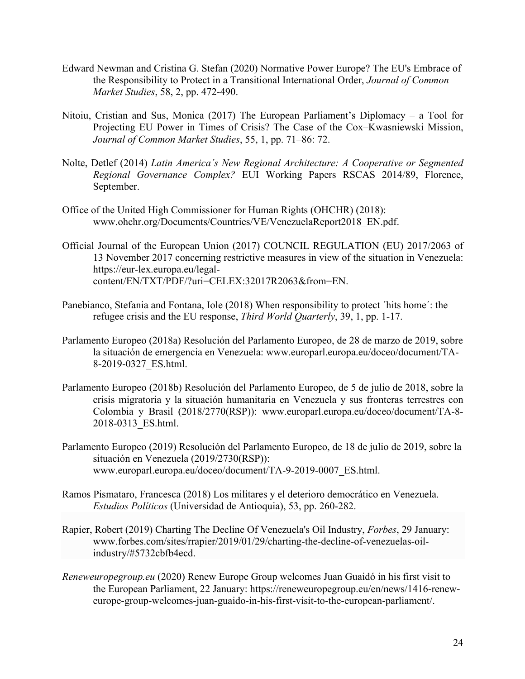- Edward Newman and Cristina G. Stefan (2020) Normative Power Europe? The EU's Embrace of the Responsibility to Protect in a Transitional International Order, *Journal of Common Market Studies*, 58, 2, pp. 472-490.
- Nitoiu, Cristian and Sus, Monica (2017) The European Parliament's Diplomacy a Tool for Projecting EU Power in Times of Crisis? The Case of the Cox–Kwasniewski Mission, *Journal of Common Market Studies*, 55, 1, pp. 71–86: 72.
- Nolte, Detlef (2014) *Latin America´s New Regional Architecture: A Cooperative or Segmented Regional Governance Complex?* EUI Working Papers RSCAS 2014/89, Florence, September.
- Office of the United High Commissioner for Human Rights (OHCHR) (2018): www.ohchr.org/Documents/Countries/VE/VenezuelaReport2018\_EN.pdf.
- Official Journal of the European Union (2017) COUNCIL REGULATION (EU) 2017/2063 of 13 November 2017 concerning restrictive measures in view of the situation in Venezuela: https://eur-lex.europa.eu/legalcontent/EN/TXT/PDF/?uri=CELEX:32017R2063&from=EN.
- Panebianco, Stefania and Fontana, Iole (2018) When responsibility to protect ´hits home´: the refugee crisis and the EU response, *Third World Quarterly*, 39, 1, pp. 1-17.
- Parlamento Europeo (2018a) Resolución del Parlamento Europeo, de 28 de marzo de 2019, sobre la situación de emergencia en Venezuela: www.europarl.europa.eu/doceo/document/TA-8-2019-0327\_ES.html.
- Parlamento Europeo (2018b) Resolución del Parlamento Europeo, de 5 de julio de 2018, sobre la crisis migratoria y la situación humanitaria en Venezuela y sus fronteras terrestres con Colombia y Brasil (2018/2770(RSP)): www.europarl.europa.eu/doceo/document/TA-8- 2018-0313\_ES.html.
- Parlamento Europeo (2019) Resolución del Parlamento Europeo, de 18 de julio de 2019, sobre la situación en Venezuela (2019/2730(RSP)): www.europarl.europa.eu/doceo/document/TA-9-2019-0007\_ES.html.
- Ramos Pismataro, Francesca (2018) Los militares y el deterioro democrático en Venezuela. *Estudios Políticos* (Universidad de Antioquia), 53, pp. 260-282.
- Rapier, Robert (2019) Charting The Decline Of Venezuela's Oil Industry, *Forbes*, 29 January: www.forbes.com/sites/rrapier/2019/01/29/charting-the-decline-of-venezuelas-oilindustry/#5732cbfb4ecd.
- *Reneweuropegroup.eu* (2020) Renew Europe Group welcomes Juan Guaidó in his first visit to the European Parliament, 22 January: https://reneweuropegroup.eu/en/news/1416-reneweurope-group-welcomes-juan-guaido-in-his-first-visit-to-the-european-parliament/.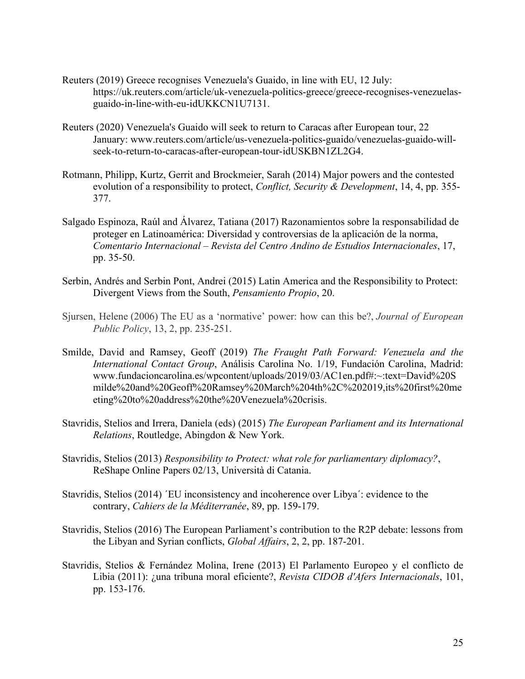- Reuters (2019) Greece recognises Venezuela's Guaido, in line with EU, 12 July: https://uk.reuters.com/article/uk-venezuela-politics-greece/greece-recognises-venezuelasguaido-in-line-with-eu-idUKKCN1U7131.
- Reuters (2020) Venezuela's Guaido will seek to return to Caracas after European tour, 22 January: www.reuters.com/article/us-venezuela-politics-guaido/venezuelas-guaido-willseek-to-return-to-caracas-after-european-tour-idUSKBN1ZL2G4.
- Rotmann, Philipp, Kurtz, Gerrit and Brockmeier, Sarah (2014) Major powers and the contested evolution of a responsibility to protect, *Conflict, Security & Development*, 14, 4, pp. 355- 377.
- Salgado Espinoza, Raúl and Álvarez, Tatiana (2017) Razonamientos sobre la responsabilidad de proteger en Latinoamérica: Diversidad y controversias de la aplicación de la norma, *Comentario Internacional – Revista del Centro Andino de Estudios Internacionales*, 17, pp. 35-50.
- Serbin, Andrés and Serbin Pont, Andrei (2015) Latin America and the Responsibility to Protect: Divergent Views from the South, *Pensamiento Propio*, 20.
- Sjursen, Helene (2006) The EU as a 'normative' power: how can this be?, *Journal of European Public Policy*, 13, 2, pp. 235-251.
- Smilde, David and Ramsey, Geoff (2019) *The Fraught Path Forward: Venezuela and the International Contact Group*, Análisis Carolina No. 1/19, Fundación Carolina, Madrid: www.fundacioncarolina.es/wpcontent/uploads/2019/03/AC1en.pdf#:~:text=David%20S milde%20and%20Geoff%20Ramsey%20March%204th%2C%202019,its%20first%20me eting%20to%20address%20the%20Venezuela%20crisis.
- Stavridis, Stelios and Irrera, Daniela (eds) (2015) *The European Parliament and its International Relations*, Routledge, Abingdon & New York.
- Stavridis, Stelios (2013) *Responsibility to Protect: what role for parliamentary diplomacy?*, ReShape Online Papers 02/13, Università di Catania.
- Stavridis, Stelios (2014) ´EU inconsistency and incoherence over Libya´: evidence to the contrary, *Cahiers de la Méditerranée*, 89, pp. 159-179.
- Stavridis, Stelios (2016) The European Parliament's contribution to the R2P debate: lessons from the Libyan and Syrian conflicts, *Global Affairs*, 2, 2, pp. 187-201.
- Stavridis, Stelios & Fernández Molina, Irene (2013) El Parlamento Europeo y el conflicto de Libia (2011): ¿una tribuna moral eficiente?, *Revista CIDOB d'Afers Internacionals*, 101, pp. 153-176.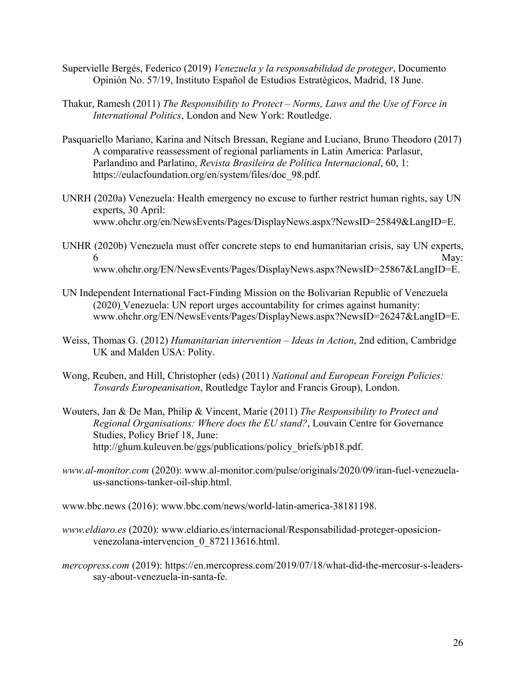- Supervielle Bergés, Federico (2019) *Venezuela y la responsabilidad de proteger*, Documento Opinión No. 57/19, Instituto Español de Estudios Estratégicos, Madrid, 18 June.
- Thakur, Ramesh (2011) *The Responsibility to Protect – Norms, Laws and the Use of Force in International Politics*, London and New York: Routledge.
- Pasquariello Mariano, Karina and Nitsch Bressan, Regiane and Luciano, Bruno Theodoro (2017) A comparative reassessment of regional parliaments in Latin America: Parlasur, Parlandino and Parlatino, *Revista Brasileira de Política Internacional*, 60, 1: https://eulacfoundation.org/en/system/files/doc\_98.pdf.
- UNRH (2020a) Venezuela: Health emergency no excuse to further restrict human rights, say UN experts, 30 April: www.ohchr.org/en/NewsEvents/Pages/DisplayNews.aspx?NewsID=25849&LangID=E.
- UNHR (2020b) Venezuela must offer concrete steps to end humanitarian crisis, say UN experts,  $6 \text{ May:}$ www.ohchr.org/EN/NewsEvents/Pages/DisplayNews.aspx?NewsID=25867&LangID=E.
- UN Independent International Fact-Finding Mission on the Bolivarian Republic of Venezuela (2020) Venezuela: UN report urges accountability for crimes against humanity: www.ohchr.org/EN/NewsEvents/Pages/DisplayNews.aspx?NewsID=26247&LangID=E.
- Weiss, Thomas G. (2012) *Humanitarian intervention – Ideas in Action*, 2nd edition, Cambridge UK and Malden USA: Polity.
- Wong, Reuben, and Hill, Christopher (eds) (2011) *National and European Foreign Policies: Towards Europeanisation*, Routledge Taylor and Francis Group), London.
- Wouters, Jan & De Man, Philip & Vincent, Marie (2011) *The Responsibility to Protect and Regional Organisations: Where does the EU stand?*, Louvain Centre for Governance Studies, Policy Brief 18, June: http://ghum.kuleuven.be/ggs/publications/policy\_briefs/pb18.pdf.
- *www.al-monitor.com* (2020): www.al-monitor.com/pulse/originals/2020/09/iran-fuel-venezuelaus-sanctions-tanker-oil-ship.html.

www.bbc.news (2016): www.bbc.com/news/world-latin-america-38181198.

- *www.eldiaro.es* (2020): www.eldiario.es/internacional/Responsabilidad-proteger-oposicionvenezolana-intervencion\_0\_872113616.html.
- *mercopress.com* (2019): https://en.mercopress.com/2019/07/18/what-did-the-mercosur-s-leaderssay-about-venezuela-in-santa-fe.